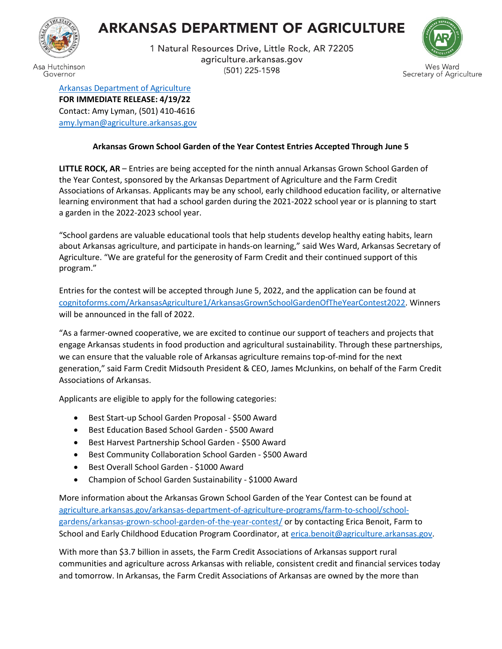## **ARKANSAS DEPARTMENT OF AGRICULTURE**



Governor

1 Natural Resources Drive, Little Rock, AR 72205 agriculture.arkansas.gov (501) 225-1598



[Arkansas Department of Agriculture](https://www.agriculture.arkansas.gov/) **FOR IMMEDIATE RELEASE: 4/19/22** Contact: Amy Lyman, (501) 410-4616 [amy.lyman@agriculture.arkansas.gov](mailto:amy.lyman@agriculture.arkansas.gov)

## **Arkansas Grown School Garden of the Year Contest Entries Accepted Through June 5**

**LITTLE ROCK, AR** – Entries are being accepted for the ninth annual Arkansas Grown School Garden of the Year Contest, sponsored by the Arkansas Department of Agriculture and the Farm Credit Associations of Arkansas. Applicants may be any school, early childhood education facility, or alternative learning environment that had a school garden during the 2021-2022 school year or is planning to start a garden in the 2022-2023 school year.

"School gardens are valuable educational tools that help students develop healthy eating habits, learn about Arkansas agriculture, and participate in hands-on learning," said Wes Ward, Arkansas Secretary of Agriculture. "We are grateful for the generosity of Farm Credit and their continued support of this program."

Entries for the contest will be accepted through June 5, 2022, and the application can be found at [cognitoforms.com/ArkansasAgriculture1/ArkansasGrownSchoolGardenOfTheYearContest2022.](https://www.cognitoforms.com/ArkansasAgriculture1/ArkansasGrownSchoolGardenOfTheYearContest2022) Winners will be announced in the fall of 2022.

"As a farmer-owned cooperative, we are excited to continue our support of teachers and projects that engage Arkansas students in food production and agricultural sustainability. Through these partnerships, we can ensure that the valuable role of Arkansas agriculture remains top-of-mind for the next generation," said Farm Credit Midsouth President & CEO, James McJunkins, on behalf of the Farm Credit Associations of Arkansas.

Applicants are eligible to apply for the following categories:

- Best Start-up School Garden Proposal \$500 Award
- Best Education Based School Garden \$500 Award
- Best Harvest Partnership School Garden \$500 Award
- Best Community Collaboration School Garden \$500 Award
- Best Overall School Garden \$1000 Award
- Champion of School Garden Sustainability \$1000 Award

More information about the Arkansas Grown School Garden of the Year Contest can be found at [agriculture.arkansas.gov/arkansas-department-of-agriculture-programs/farm-to-school/school](https://www.agriculture.arkansas.gov/arkansas-department-of-agriculture-programs/farm-to-school/school-gardens/arkansas-grown-school-garden-of-the-year-contest/)[gardens/arkansas-grown-school-garden-of-the-year-contest/](https://www.agriculture.arkansas.gov/arkansas-department-of-agriculture-programs/farm-to-school/school-gardens/arkansas-grown-school-garden-of-the-year-contest/) or by contacting Erica Benoit, Farm to School and Early Childhood Education Program Coordinator, a[t erica.benoit@agriculture.arkansas.gov.](mailto:erica.benoit@agriculture.arkansas.gov)

With more than \$3.7 billion in assets, the Farm Credit Associations of Arkansas support rural communities and agriculture across Arkansas with reliable, consistent credit and financial services today and tomorrow. In Arkansas, the Farm Credit Associations of Arkansas are owned by the more than